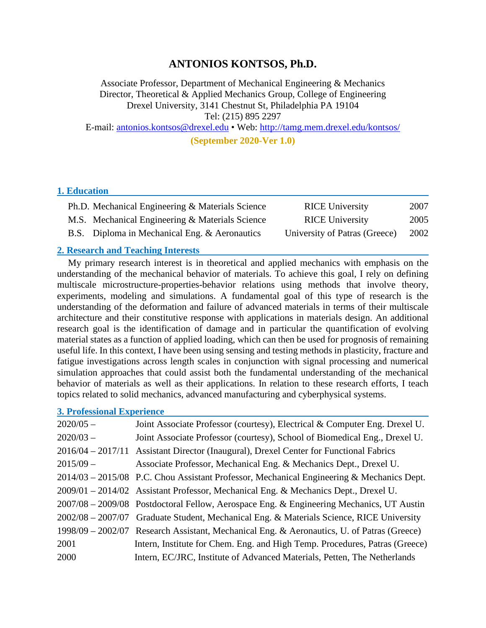# **ANTONIOS KONTSOS, Ph.D.**

Associate Professor, Department of Mechanical Engineering & Mechanics Director, Theoretical & Applied Mechanics Group, College of Engineering Drexel University, 3141 Chestnut St, Philadelphia PA 19104 Tel: (215) 895 2297 E-mail: [antonios.kontsos@drexel.edu](mailto:antonios.kontsos@drexel.edu) • Web:<http://tamg.mem.drexel.edu/kontsos/>

**(September 2020-Ver 1.0)**

#### **1. Education**

| Ph.D. Mechanical Engineering & Materials Science | <b>RICE University</b>        | 2007 |
|--------------------------------------------------|-------------------------------|------|
| M.S. Mechanical Engineering & Materials Science  | <b>RICE University</b>        | 2005 |
| B.S. Diploma in Mechanical Eng. & Aeronautics    | University of Patras (Greece) | 2002 |

#### **2. Research and Teaching Interests**

My primary research interest is in theoretical and applied mechanics with emphasis on the understanding of the mechanical behavior of materials. To achieve this goal, I rely on defining multiscale microstructure-properties-behavior relations using methods that involve theory, experiments, modeling and simulations. A fundamental goal of this type of research is the understanding of the deformation and failure of advanced materials in terms of their multiscale architecture and their constitutive response with applications in materials design. An additional research goal is the identification of damage and in particular the quantification of evolving material states as a function of applied loading, which can then be used for prognosis of remaining useful life. In this context, I have been using sensing and testing methods in plasticity, fracture and fatigue investigations across length scales in conjunction with signal processing and numerical simulation approaches that could assist both the fundamental understanding of the mechanical behavior of materials as well as their applications. In relation to these research efforts, I teach topics related to solid mechanics, advanced manufacturing and cyberphysical systems.

#### **3. Professional Experience**

| $2020/05 -$ | Joint Associate Professor (courtesy), Electrical & Computer Eng. Drexel U.                  |
|-------------|---------------------------------------------------------------------------------------------|
| $2020/03 -$ | Joint Associate Professor (courtesy), School of Biomedical Eng., Drexel U.                  |
|             | 2016/04 – 2017/11 Assistant Director (Inaugural), Drexel Center for Functional Fabrics      |
| $2015/09 -$ | Associate Professor, Mechanical Eng. & Mechanics Dept., Drexel U.                           |
|             | $2014/03 - 2015/08$ P.C. Chou Assistant Professor, Mechanical Engineering & Mechanics Dept. |
|             | 2009/01 – 2014/02 Assistant Professor, Mechanical Eng. & Mechanics Dept., Drexel U.         |
|             | 2007/08 - 2009/08 Postdoctoral Fellow, Aerospace Eng. & Engineering Mechanics, UT Austin    |
|             | 2002/08 - 2007/07 Graduate Student, Mechanical Eng. & Materials Science, RICE University    |
|             | 1998/09 – 2002/07 Research Assistant, Mechanical Eng. & Aeronautics, U. of Patras (Greece)  |
| 2001        | Intern, Institute for Chem. Eng. and High Temp. Procedures, Patras (Greece)                 |
| 2000        | Intern, EC/JRC, Institute of Advanced Materials, Petten, The Netherlands                    |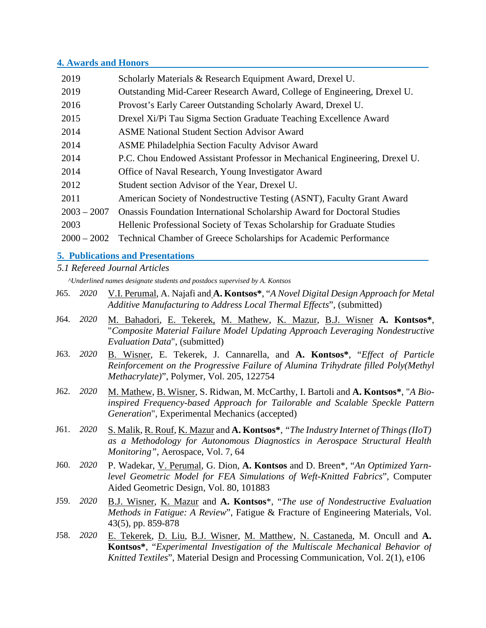#### **4. Awards and Honors**

| 2019          | Scholarly Materials & Research Equipment Award, Drexel U.                      |
|---------------|--------------------------------------------------------------------------------|
| 2019          | Outstanding Mid-Career Research Award, College of Engineering, Drexel U.       |
| 2016          | Provost's Early Career Outstanding Scholarly Award, Drexel U.                  |
| 2015          | Drexel Xi/Pi Tau Sigma Section Graduate Teaching Excellence Award              |
| 2014          | <b>ASME National Student Section Advisor Award</b>                             |
| 2014          | <b>ASME Philadelphia Section Faculty Advisor Award</b>                         |
| 2014          | P.C. Chou Endowed Assistant Professor in Mechanical Engineering, Drexel U.     |
| 2014          | Office of Naval Research, Young Investigator Award                             |
| 2012          | Student section Advisor of the Year, Drexel U.                                 |
| 2011          | American Society of Nondestructive Testing (ASNT), Faculty Grant Award         |
| $2003 - 2007$ | <b>Onassis Foundation International Scholarship Award for Doctoral Studies</b> |
| 2003          | Hellenic Professional Society of Texas Scholarship for Graduate Studies        |
| $2000 - 2002$ | Technical Chamber of Greece Scholarships for Academic Performance              |

## **5. Publications and Presentations**

#### *5.1 Refereed Journal Articles*

*^Underlined names designate students and postdocs supervised by A. Kontsos*

- J65. *2020* V.I. Perumal, A. Najafi and **A. Kontsos\***, "*A Novel Digital Design Approach for Metal Additive Manufacturing to Address Local Thermal Effects*", (submitted)
- J64. *2020* M. Bahadori, E. Tekerek, M. Mathew, K. Mazur, B.J. Wisner **A. Kontsos\***, "*Composite Material Failure Model Updating Approach Leveraging Nondestructive Evaluation Data*", (submitted)
- J63. *2020* B. Wisner, E. Tekerek, J. Cannarella, and **A. Kontsos\***, "*Effect of Particle Reinforcement on the Progressive Failure of Alumina Trihydrate filled Poly(Methyl Methacrylate)*", Polymer, Vol. 205, 122754
- J62. *2020* M. Mathew, B. Wisner, S. Ridwan, M. McCarthy, I. Bartoli and **A. Kontsos\***, "*A Bioinspired Frequency-based Approach for Tailorable and Scalable Speckle Pattern Generation*", Experimental Mechanics (accepted)
- J61. *2020* S. Malik, R. Rouf, K. Mazur and **A. Kontsos\***, *"The Industry Internet of Things (IIoT) as a Methodology for Autonomous Diagnostics in Aerospace Structural Health Monitoring"*, Aerospace, Vol. 7, 64
- J60. *2020* P. Wadekar, V. Perumal, G. Dion, **A. Kontsos** and D. Breen\*, "*An Optimized Yarnlevel Geometric Model for FEA Simulations of Weft-Knitted Fabrics*", Computer Aided Geometric Design, Vol. 80, 101883
- J59. *2020* B.J. Wisner, K. Mazur and **A. Kontsos**\*, "*The use of Nondestructive Evaluation Methods in Fatigue: A Review*", Fatigue & Fracture of Engineering Materials, Vol. 43(5), pp. 859-878
- J58. *2020* E. Tekerek, D. Liu, B.J. Wisner, M. Matthew, N. Castaneda, M. Oncull and **A. Kontsos\***, "*Experimental Investigation of the Multiscale Mechanical Behavior of Knitted Textiles*", Material Design and Processing Communication, Vol. 2(1), e106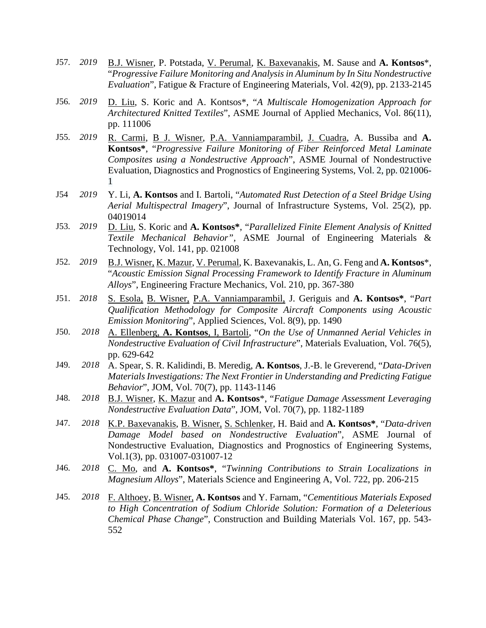- J57. *2019* B.J. Wisner, P. Potstada, V. Perumal, K. Baxevanakis, M. Sause and **A. Kontsos**\*, "*Progressive Failure Monitoring and Analysis in Aluminum by In Situ Nondestructive Evaluation*", Fatigue & Fracture of Engineering Materials, Vol. 42(9), pp. 2133-2145
- J56. *2019* D. Liu, S. Koric and A. Kontsos\*, "*A Multiscale Homogenization Approach for Architectured Knitted Textiles*", ASME Journal of Applied Mechanics, Vol. 86(11), pp. 111006
- J55. *2019* R. Carmi, B J. Wisner, P.A. Vanniamparambil, J. Cuadra, A. Bussiba and **A. Kontsos\***, "*Progressive Failure Monitoring of Fiber Reinforced Metal Laminate Composites using a Nondestructive Approach*", ASME Journal of Nondestructive Evaluation, Diagnostics and Prognostics of Engineering Systems, Vol. 2, pp. 021006- 1
- J54 *2019* Y. Li, **A. Kontsos** and I. Bartoli, "*Automated Rust Detection of a Steel Bridge Using Aerial Multispectral Imagery*", Journal of Infrastructure Systems, Vol. 25(2), pp. 04019014
- J53. *2019* D. Liu, S. Koric and **A. Kontsos\***, "*Parallelized Finite Element Analysis of Knitted Textile Mechanical Behavior",* ASME Journal of Engineering Materials & Technology, Vol. 141, pp. 021008
- J52. *2019* B.J. Wisner, K. Mazur, V. Perumal, K. Baxevanakis, L. An, G. Feng and **A. Kontsos**\*, "*Acoustic Emission Signal Processing Framework to Identify Fracture in Aluminum Alloys*", Engineering Fracture Mechanics, Vol. 210, pp. 367-380
- J51. *2018* S. Esola, B. Wisner, P.A. Vanniamparambil, J. Geriguis and **A. Kontsos\***, "*Part Qualification Methodology for Composite Aircraft Components using Acoustic Emission Monitoring*", Applied Sciences, Vol. 8(9), pp. 1490
- J50. *2018* A. Ellenberg, **A. Kontsos**, I, Bartoli, "*On the Use of Unmanned Aerial Vehicles in Nondestructive Evaluation of Civil Infrastructure*", Materials Evaluation, Vol. 76(5), pp. 629-642
- J49. *2018* A. Spear, S. R. Kalidindi, B. Meredig, **A. Kontsos**, J.-B. le Greverend, "*Data-Driven Materials Investigations: The Next Frontier in Understanding and Predicting Fatigue Behavior*", JOM, Vol. 70(7), pp. 1143-1146
- J48. *2018* B.J. Wisner, K. Mazur and **A. Kontsos**\*, "*Fatigue Damage Assessment Leveraging Nondestructive Evaluation Data*", JOM, Vol. 70(7), pp. 1182-1189
- J47. *2018* K.P. Baxevanakis, B. Wisner, S. Schlenker, H. Baid and **A. Kontsos\***, "*Data-driven Damage Model based on Nondestructive Evaluation*"*,* ASME Journal of Nondestructive Evaluation, Diagnostics and Prognostics of Engineering Systems, Vol.1(3), pp. 031007-031007-12
- J46. *2018* C. Mo, and **A. Kontsos\***, "*Twinning Contributions to Strain Localizations in Magnesium Alloys*", Materials Science and Engineering A, Vol. 722, pp. 206-215
- J45. *2018* F. Althoey, B. Wisner, **A. Kontsos** and Y. Farnam, "*Cementitious Materials Exposed to High Concentration of Sodium Chloride Solution: Formation of a Deleterious Chemical Phase Change*", Construction and Building Materials Vol. 167, pp. 543- 552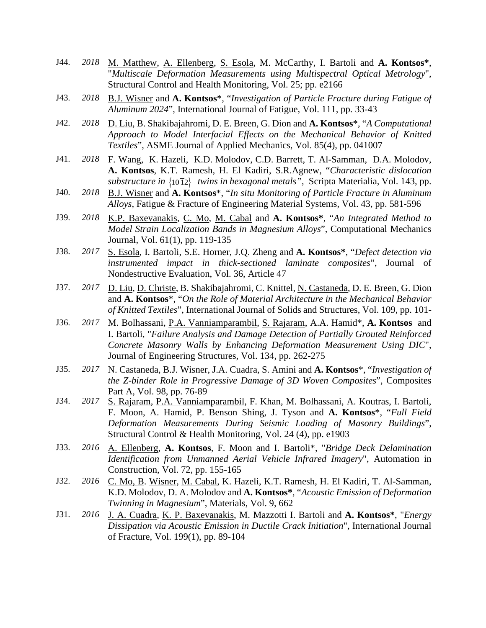- J44. *2018* M. Matthew, Α. Ellenberg, S. Esola, M. McCarthy, I. Bartoli and **A. Kontsos\***, "*Multiscale Deformation Measurements using Multispectral Optical Metrology*", Structural Control and Health Monitoring, Vol. 25; pp. e2166
- J43. *2018* B.J. Wisner and **A. Kontsos**\*, "*Investigation of Particle Fracture during Fatigue of Aluminum 2024*", International Journal of Fatigue, Vol. 111, pp. 33-43
- J42. *2018* D. Liu, B. Shakibajahromi, D. E. Breen, G. Dion and **A. Kontsos**\*, "*A Computational Approach to Model Interfacial Effects on the Mechanical Behavior of Knitted Textiles*", ASME Journal of Applied Mechanics, Vol. 85(4), pp. 041007
- J41. *2018* F. Wang, K. Hazeli, K.D. Molodov, C.D. Barrett, T. Al-Samman, D.A. Molodov, **A. Kontsos**, K.T. Ramesh, H. El Kadiri, S.R.Agnew, "*Characteristic dislocation substructure in* {10 12} *twins in hexagonal metals"*, Scripta Materialia, Vol. 143, pp.
- J40. *2018* B.J. Wisner and **A. Kontsos**\*, "*In situ Monitoring of Particle Fracture in Aluminum Alloys*, Fatigue & Fracture of Engineering Material Systems, Vol. 43, pp. 581-596
- J39. *2018* K.P. Baxevanakis, C. Mo, M. Cabal and **A. Kontsos\***, "*An Integrated Method to Model Strain Localization Bands in Magnesium Alloys*", Computational Mechanics Journal, Vol. 61(1), pp. 119-135
- J38. *2017* S. Esola, I. Bartoli, S.E. Horner, J.Q. Zheng and **A. Kontsos\***, "*Defect detection via instrumented impact in thick-sectioned laminate composites*", Journal of Nondestructive Evaluation, Vol. 36, Article 47
- J37. *2017* D. Liu, D. Christe, B. Shakibajahromi, C. Knittel, N. Castaneda, D. E. Breen, G. Dion and **A. Kontsos**\*, "*On the Role of Material Architecture in the Mechanical Behavior of Knitted Textiles*", International Journal of Solids and Structures, Vol. 109, pp. 101-
- J36. *2017* M. Bolhassani, P.A. Vanniamparambil, S. Rajaram, A.A. Hamid\*, **A. Kontsos** and I. Bartoli, "*Failure Analysis and Damage Detection of Partially Grouted Reinforced Concrete Masonry Walls by Enhancing Deformation Measurement Using DIC*", Journal of Engineering Structures, Vol. 134, pp. 262-275
- J35. *2017* N. Castaneda, B.J. Wisner, J.A. Cuadra, S. Amini and **A. Kontsos**\*, "*Investigation of the Z-binder Role in Progressive Damage of 3D Woven Composites*", Composites Part A, Vol. 98, pp. 76-89
- J34. *2017* S. Rajaram, P.A. Vanniamparambil, F. Khan, M. Bolhassani, A. Koutras, I. Bartoli, F. Moon, A. Hamid, P. Benson Shing, J. Tyson and **A. Kontsos**\*, "*Full Field Deformation Measurements During Seismic Loading of Masonry Buildings*", Structural Control & Health Monitoring, Vol. 24 (4), pp. e1903
- J33. *2016* Α. Ellenberg, **A. Kontsos**, F. Moon and I. Bartoli\*, "*Bridge Deck Delamination Identification from Unmanned Aerial Vehicle Infrared Imagery*", Automation in Construction, Vol. 72, pp. 155-165
- J32. *2016* C. Mo, B. Wisner, M. Cabal, K. Hazeli, K.T. Ramesh, H. El Kadiri, T. Al-Samman, K.D. Molodov, D. A. Molodov and **A. Kontsos\***, "*Acoustic Emission of Deformation Twinning in Magnesium*", Materials, Vol. 9, 662
- J31. *2016* J. A. Cuadra, K. P. Baxevanakis, M. Mazzotti I. Bartoli and **A. Kontsos\***, "*Energy Dissipation via Acoustic Emission in Ductile Crack Initiation*", International Journal of Fracture, Vol. 199(1), pp. 89-104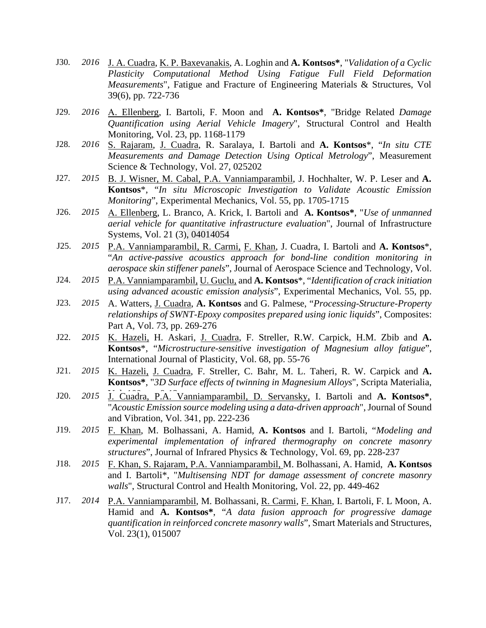- J30. *2016* J. A. Cuadra, K. P. Baxevanakis, A. Loghin and **A. Kontsos\***, "*Validation of a Cyclic Plasticity Computational Method Using Fatigue Full Field Deformation Measurements*", Fatigue and Fracture of Engineering Materials & Structures, Vol 39(6), pp. 722-736
- J29. *2016* Α. Ellenberg, I. Bartoli, F. Moon and **A. Kontsos\***, "Bridge Related *Damage Quantification using Aerial Vehicle Imagery*", Structural Control and Health Monitoring, Vol. 23, pp. 1168-1179
- J28. *2016* S. Rajaram, J. Cuadra, R. Saralaya, I. Bartoli and **A. Kontsos**\*, "*In situ CTE Measurements and Damage Detection Using Optical Metrology*", Measurement Science & Technology, Vol. 27, 025202
- J27. *2015* B. J. Wisner, M. Cabal, P.A. Vanniamparambil, J. Hochhalter, W. P. Leser and **A. Kontsos**\*, "*In situ Microscopic Investigation to Validate Acoustic Emission Monitoring*", Experimental Mechanics, Vol. 55, pp. 1705-1715
- J26. *2015* Α. Ellenberg, L. Branco, A. Krick, I. Bartoli and **A. Kontsos\***, "*Use of unmanned aerial vehicle for quantitative infrastructure evaluation*", Journal of Infrastructure Systems, Vol. 21 (3), 04014054
- J25. *2015* P.A. Vanniamparambil, R. Carmi, F. Khan, J. Cuadra, I. Bartoli and **A. Kontsos**\*, "*An active-passive acoustics approach for bond-line condition monitoring in aerospace skin stiffener panels*", Journal of Aerospace Science and Technology, Vol.
- J24. *2015* P.A. Vanniamparambil, U. Guclu, and **A. Kontsos**\*, "*Identification of crack initiation using advanced acoustic emission analysis*", Experimental Mechanics, Vol. 55, pp.
- J23. *2015* A. Watters, J. Cuadra, **A. Kontsos** and G. Palmese, "*Processing-Structure-Property relationships of SWNT-Epoxy composites prepared using ionic liquids*", Composites: Part A, Vol. 73, pp. 269-276
- J22. *2015* K. Hazeli, H. Askari, J. Cuadra, F. Streller, R.W. Carpick, H.M. Zbib and **A. Kontsos**\*, "*Microstructure-sensitive investigation of Magnesium alloy fatigue*", International Journal of Plasticity, Vol. 68, pp. 55-76
- J21. *2015* K. Hazeli, J. Cuadra, F. Streller, C. Bahr, M. L. Taheri, R. W. Carpick and **A. Kontsos\***, "*3D Surface effects of twinning in Magnesium Alloys*", Scripta Materialia,
- J20. 2015 J. Cuadra, P.A. Vanniamparambil, D. Servansky, I. Bartoli and A. Kontsos\*, "*Acoustic Emission source modeling using a data-driven approach*", Journal of Sound and Vibration, Vol. 341, pp. 222-236
- J19. *2015* F. Khan, M. Bolhassani, A. Hamid, **A. Kontsos** and I. Bartoli, "*Modeling and experimental implementation of infrared thermography on concrete masonry structures*", Journal of Infrared Physics & Technology, Vol. 69, pp. 228-237
- J18. *2015* F. Khan, S. Rajaram, P.A. Vanniamparambil, M. Bolhassani, A. Hamid, **A. Kontsos** and I. Bartoli\*, "*Multisensing NDT for damage assessment of concrete masonry walls*", Structural Control and Health Monitoring, Vol. 22, pp. 449-462
- J17. *2014* P.A. Vanniamparambil, M. Bolhassani, R. Carmi, F. Khan, I. Bartoli, F. L Moon, A. Hamid and **A. Kontsos\***, "*A data fusion approach for progressive damage quantification in reinforced concrete masonry walls*", Smart Materials and Structures, Vol. 23(1), 015007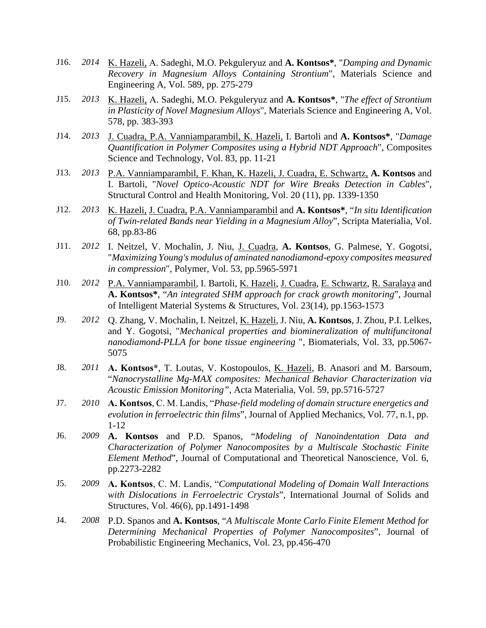- J16. *2014* K. Hazeli, Α. Sadeghi, M.O. Pekguleryuz and **A. Kontsos\***, "*Damping and Dynamic Recovery in Magnesium Alloys Containing Strontium*", Materials Science and Engineering A, Vol. 589, pp. 275-279
- J15. *2013* K. Hazeli, Α. Sadeghi, M.O. Pekguleryuz and **A. Kontsos\***, "*The effect of Strontium in Plasticity of Novel Magnesium Alloys*", Materials Science and Engineering A, Vol. 578, pp. 383-393
- J14. *2013* J. Cuadra, P.A. Vanniamparambil, K. Hazeli, I. Bartoli and **A. Kontsos\***, "*Damage Quantification in Polymer Composites using a Hybrid NDT Approach*", Composites Science and Technology, Vol. 83, pp. 11-21
- J13. *2013* P.A. Vanniamparambil, F. Khan, K. Hazeli, J. Cuadra, E. Schwartz, **A. Kontsos** and I. Bartoli, "*Novel Optico-Acoustic NDT for Wire Breaks Detection in Cables*", Structural Control and Health Monitoring, Vol. 20 (11), pp. 1339-1350
- J12. *2013* K. Hazeli, J. Cuadra, P.A. Vanniamparambil and **A. Kontsos\***, "*In situ Identification of Twin-related Bands near Yielding in a Magnesium Alloy*", Scripta Materialia, Vol. 68, pp.83-86
- J11. *2012* I. Neitzel, V. Mochalin, J. Niu, J. Cuadra, **A. Kontsos**, G. Palmese, Y. Gogotsi, "*Maximizing Young's modulus of aminated nanodiamond-epoxy composites measured in compression*", Polymer, Vol. 53, pp.5965-5971
- J10. *2012* P.A. Vanniamparambil, I. Bartoli, K. Hazeli, J. Cuadra, E. Schwartz, R. Saralaya and **A. Kontsos\***, "*An integrated SHM approach for crack growth monitoring*", Journal of Intelligent Material Systems & Structures, Vol. 23(14), pp.1563-1573
- J9. *2012* Q. Zhang, V. Mochalin, I. Neitzel, K. Hazeli, J. Niu, **A. Kontsos**, J. Zhou, P.I. Lelkes, and Y. Gogotsi, "*Mechanical properties and biomineralization of multifuncitonal nanodiamond-PLLA for bone tissue engineering* ", Biomaterials, Vol. 33, pp.5067- 5075
- J8. *2011* **Α. Kontsos\***, T. Loutas, V. Kostopoulos, K. Hazeli, B. Anasori and M. Barsoum, "*Nanocrystalline Mg-MAX composites: Mechanical Behavior Characterization via Acoustic Emission Monitoring",* Acta Materialia, Vol. 59, pp.5716-5727
- J7. *2010* **Α. Kontsos**, C. Μ. Landis, "*Phase-field modeling of domain structure energetics and evolution in ferroelectric thin films*", Journal of Applied Mechanics, Vol. 77, n.1, pp. 1-12
- J6. *2009* **A. Kontsos** and P.D. Spanos, "*Modeling of Nanoindentation Data and Characterization of Polymer Nanocomposites by a Multiscale Stochastic Finite Element Method*", Journal of Computational and Theoretical Nanoscience, Vol. 6, pp.2273-2282
- J5. *2009* **Α. Kontsos**, C. Μ. Landis, "*Computational Modeling of Domain Wall Interactions with Dislocations in Ferroelectric Crystals*", International Journal of Solids and Structures, Vol. 46(6), pp.1491-1498
- J4. *2008* P.D. Spanos and **A. Kontsos**, "*A Multiscale Monte Carlo Finite Element Method for Determining Mechanical Properties of Polymer Nanocomposites*", Journal of Probabilistic Engineering Mechanics, Vol. 23, pp.456-470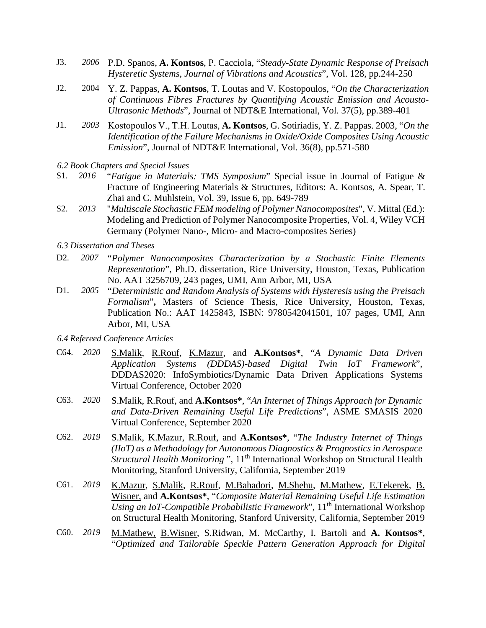- J3. *2006* P.D. Spanos, **A. Kontsos**, P. Cacciola, "*Steady-State Dynamic Response of Preisach Hysteretic Systems, Journal of Vibrations and Acoustics*", Vol. 128, pp.244-250
- J2. 2004 Y. Z. Pappas, **A. Kontsos**, T. Loutas and V. Kostopoulos, "*On the Characterization of Continuous Fibres Fractures by Quantifying Acoustic Emission and Acousto-Ultrasonic Methods*", Journal of NDT&E International, Vol. 37(5), pp.389-401
- J1. *2003* Kostopoulos V., T.Η. Loutas, **A. Kontsos**, G. Sotiriadis, Y. Z. Pappas. 2003, "*On the Identification of the Failure Mechanisms in Oxide/Oxide Composites Using Acoustic Emission*", Journal of NDT&E International, Vol. 36(8), pp.571-580
- *6.2 Book Chapters and Special Issues*
- S1. *2016* "*Fatigue in Materials: TMS Symposium*" Special issue in Journal of Fatigue & Fracture of Engineering Materials & Structures, Editors: A. Kontsos, A. Spear, T. Zhai and C. Muhlstein, Vol. 39, Issue 6, pp. 649-789
- S2. *2013* "*Multiscale Stochastic FEM modeling of Polymer Nanocomposites*", V. Mittal (Ed.): Modeling and Prediction of Polymer Nanocomposite Properties, Vol. 4, Wiley VCH Germany (Polymer Nano-, Micro- and Macro-composites Series)
- *6.3 Dissertation and Theses*
- D2. *2007* "*Polymer Nanocomposites Characterization by a Stochastic Finite Elements Representation*", Ph.D. dissertation, Rice University, Houston, Texas, Publication No. AAT 3256709, 243 pages, UMI, Ann Arbor, MI, USA
- D1. *2005* "*Deterministic and Random Analysis of Systems with Hysteresis using the Preisach Formalism*"**,** Masters of Science Thesis, Rice University, Houston, Texas, Publication No.: AAT 1425843, ISBN: 9780542041501, 107 pages, UMI, Ann Arbor, MI, USA
- *6.4 Refereed Conference Articles*
- C64. *2020* S.Malik, R.Rouf, K.Mazur, and **A.Kontsos\***, "*A Dynamic Data Driven Application Systems (DDDAS)-based Digital Twin IoT Framework*", DDDAS2020: InfoSymbiotics/Dynamic Data Driven Applications Systems Virtual Conference, October 2020
- C63. *2020* S.Malik, R.Rouf, and **A.Kontsos\***, "*An Internet of Things Approach for Dynamic and Data-Driven Remaining Useful Life Predictions*", ASME SMASIS 2020 Virtual Conference, September 2020
- C62. *2019* S.Malik, K.Mazur, R.Rouf, and **A.Kontsos\***, "*The Industry Internet of Things (IIoT) as a Methodology for Autonomous Diagnostics & Prognostics in Aerospace Structural Health Monitoring* ", 11<sup>th</sup> International Workshop on Structural Health Monitoring, Stanford University, California, September 2019
- C61. *2019* K.Mazur, S.Malik, R.Rouf, M.Bahadori, M.Shehu, M.Mathew, E.Tekerek, B. Wisner, and **A.Kontsos\***, "*Composite Material Remaining Useful Life Estimation Using an IoT-Compatible Probabilistic Framework*", 11th International Workshop on Structural Health Monitoring, Stanford University, California, September 2019
- C60. *2019* M.Mathew, B.Wisner, S.Ridwan, M. McCarthy, I. Bartoli and **A. Kontsos\***, "*Optimized and Tailorable Speckle Pattern Generation Approach for Digital*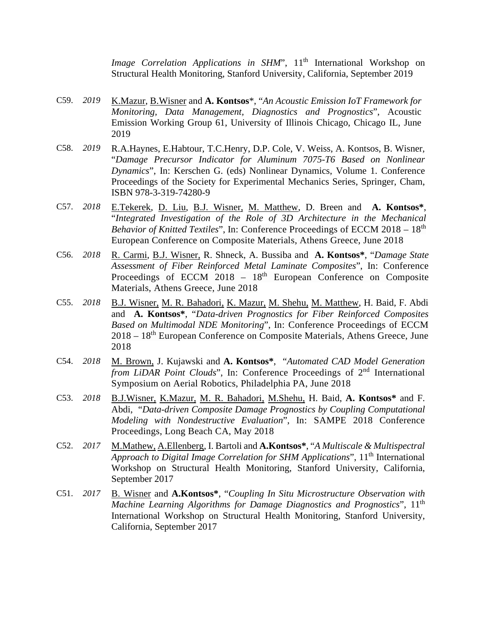*Image Correlation Applications in SHM*", 11<sup>th</sup> International Workshop on Structural Health Monitoring, Stanford University, California, September 2019

- C59. *2019* K.Mazur, B.Wisner and **A. Kontsos**\*, "*An Acoustic Emission IoT Framework for Monitoring, Data Management, Diagnostics and Prognostics*", Acoustic Emission Working Group 61, University of Illinois Chicago, Chicago IL, June 2019
- C58. *2019* R.A.Haynes, E.Habtour, T.C.Henry, D.P. Cole, V. Weiss, A. Kontsos, B. Wisner, "*Damage Precursor Indicator for Aluminum 7075-T6 Based on Nonlinear Dynamics*", In: Kerschen G. (eds) Nonlinear Dynamics, Volume 1. Conference Proceedings of the Society for Experimental Mechanics Series, Springer, Cham, ISBN 978-3-319-74280-9
- C57. *2018* E.Tekerek, D. Liu, B.J. Wisner, M. Matthew, D. Breen and **A. Kontsos\***, "*Integrated Investigation of the Role of 3D Architecture in the Mechanical Behavior of Knitted Textiles*", In: Conference Proceedings of ECCM 2018 – 18<sup>th</sup> European Conference on Composite Materials, Athens Greece, June 2018
- C56. *2018* R. Carmi, B.J. Wisner, R. Shneck, A. Bussiba and **A. Kontsos\***, "*Damage State Assessment of Fiber Reinforced Metal Laminate Composites*", In: Conference Proceedings of ECCM 2018 - 18<sup>th</sup> European Conference on Composite Materials, Athens Greece, June 2018
- C55. *2018* B.J. Wisner, M. R. Bahadori, K. Mazur, M. Shehu, M. Matthew, H. Baid, F. Abdi and **A. Kontsos\***, "*Data-driven Prognostics for Fiber Reinforced Composites Based on Multimodal NDE Monitoring*", In: Conference Proceedings of ECCM 2018 – 18<sup>th</sup> European Conference on Composite Materials, Athens Greece, June 2018
- C54. *2018* M. Brown, J. Kujawski and **A. Kontsos\***, "*Automated CAD Model Generation from LiDAR Point Clouds*", In: Conference Proceedings of 2<sup>nd</sup> International Symposium on Aerial Robotics, Philadelphia PA, June 2018
- C53. *2018* B.J.Wisner, K.Mazur, M. R. Bahadori, M.Shehu, H. Baid, **A. Kontsos\*** and F. Abdi, "*Data-driven Composite Damage Prognostics by Coupling Computational Modeling with Nondestructive Evaluation*", In: SAMPE 2018 Conference Proceedings, Long Beach CA, May 2018
- C52. *2017* M.Mathew, A.Ellenberg, I. Bartoli and **A.Kontsos\***, "*A Multiscale & Multispectral Approach to Digital Image Correlation for SHM Applications*", 11<sup>th</sup> International Workshop on Structural Health Monitoring, Stanford University, California, September 2017
- C51. *2017* B. Wisner and **A.Kontsos\***, "*Coupling In Situ Microstructure Observation with Machine Learning Algorithms for Damage Diagnostics and Prognostics*", 11<sup>th</sup> International Workshop on Structural Health Monitoring, Stanford University, California, September 2017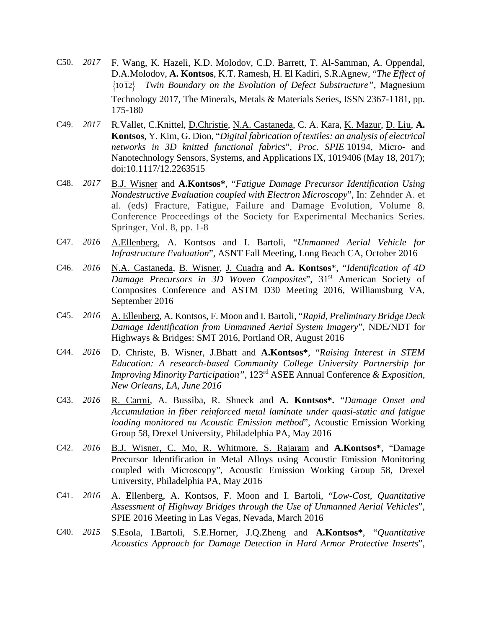- C50. *2017* F. Wang, K. Hazeli, K.D. Molodov, C.D. Barrett, T. Al-Samman, A. Oppendal, D.A.Molodov, **A. Kontsos**, K.T. Ramesh, H. El Kadiri, S.R.Agnew, "*The Effect of*  {10 12} *Twin Boundary on the Evolution of Defect Substructure"*, Magnesium Technology 2017, The Minerals, Metals & Materials Series, ISSN 2367-1181, pp. 175-180
- C49. *2017* R.Vallet, C.Knittel, D.Christie, N.A. Castaneda, C. A. Kara, K. Mazur, D. Liu, **A. Kontsos**, Y. Kim, G. Dion, "*Digital fabrication of textiles: an analysis of electrical networks in 3D knitted functional fabrics*", *Proc. SPIE* 10194, Micro- and Nanotechnology Sensors, Systems, and Applications IX, 1019406 (May 18, 2017); doi:10.1117/12.2263515
- C48. *2017* B.J. Wisner and **A.Kontsos\***, "*Fatigue Damage Precursor Identification Using Nondestructive Evaluation coupled with Electron Microscopy*", In: Zehnder A. et al. (eds) Fracture, Fatigue, Failure and Damage Evolution, Volume 8. Conference Proceedings of the Society for Experimental Mechanics Series. Springer, Vol. 8, pp. 1-8
- C47. *2016* A.Ellenberg, A. Kontsos and I. Bartoli, "*Unmanned Aerial Vehicle for Infrastructure Evaluation*", ASNT Fall Meeting, Long Beach CA, October 2016
- C46. *2016* N.A. Castaneda, B. Wisner, J. Cuadra and **A. Kontsos**\*, "*Identification of 4D Damage Precursors in 3D Woven Composites*", 31st American Society of Composites Conference and ASTM D30 Meeting 2016, Williamsburg VA, September 2016
- C45. *2016* A. Ellenberg, A. Kontsos, F. Moon and I. Bartoli, "*Rapid, Preliminary Bridge Deck Damage Identification from Unmanned Aerial System Imagery*", NDE/NDT for Highways & Bridges: SMT 2016, Portland OR, August 2016
- C44. *2016* D. Christe, B. Wisner, J.Bhatt and **A.Kontsos\***, "*Raising Interest in STEM Education: A research-based Community College University Partnership for Improving Minority Participation",* 123rd ASEE Annual Conference *& Exposition, New Orleans, LA, June 2016*
- C43. *2016* R. Carmi, A. Bussiba, R. Shneck and **A. Kontsos\*.** "*Damage Onset and Accumulation in fiber reinforced metal laminate under quasi-static and fatigue loading monitored nu Acoustic Emission method*", Acoustic Emission Working Group 58, Drexel University, Philadelphia PA, May 2016
- C42. *2016* B.J. Wisner, C. Mo, R. Whitmore, S. Rajaram and **A.Kontsos\***, "Damage Precursor Identification in Metal Alloys using Acoustic Emission Monitoring coupled with Microscopy", Acoustic Emission Working Group 58, Drexel University, Philadelphia PA, May 2016
- C41. *2016* A. Ellenberg, A. Kontsos, F. Moon and I. Bartoli, "*Low-Cost, Quantitative Assessment of Highway Bridges through the Use of Unmanned Aerial Vehicles*", SPIE 2016 Meeting in Las Vegas, Nevada, March 2016
- C40. *2015* S.Esola, I.Bartoli, S.E.Horner, J.Q.Zheng and **A.Kontsos\***, "*Quantitative Acoustics Approach for Damage Detection in Hard Armor Protective Inserts*",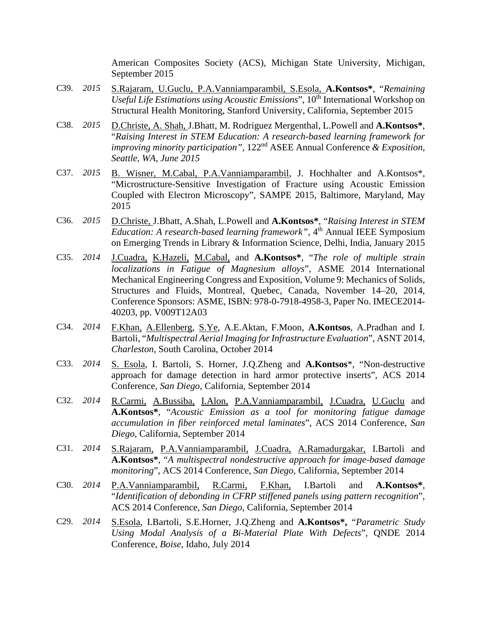American Composites Society (ACS), Michigan State University, Michigan, September 2015

- C39. *2015* S.Rajaram, U.Guclu, P.A.Vanniamparambil, S.Esola, **A.Kontsos\***, "*Remaining Useful Life Estimations using Acoustic Emissions*", 10<sup>th</sup> International Workshop on Structural Health Monitoring, Stanford University, California, September 2015
- C38. *2015* D.Christe, A. Shah, J.Bhatt, M. Rodriguez Mergenthal, L.Powell and **A.Kontsos\***, "*Raising Interest in STEM Education: A research-based learning framework for improving minority participation",* 122nd ASEE Annual Conference *& Exposition, Seattle, WA, June 2015*
- C37. *2015* B. Wisner, M.Cabal, P.A.Vanniamparambil, J. Hochhalter and A.Kontsos\*, "Microstructure-Sensitive Investigation of Fracture using Acoustic Emission Coupled with Electron Microscopy", SAMPE 2015, Baltimore, Maryland, May 2015
- C36. *2015* D.Christe, J.Bhatt, A.Shah, L.Powell and **A.Kontsos\***, "*Raising Interest in STEM Education: A research-based learning framework*", 4<sup>th</sup> Annual IEEE Symposium on Emerging Trends in Library & Information Science, Delhi, India, January 2015
- C35. *2014* J.Cuadra, K.Hazeli, M.Cabal, and **A.Kontsos\***, "*The role of multiple strain localizations in Fatigue of Magnesium alloys*", ASME 2014 International Mechanical Engineering Congress and Exposition, Volume 9: Mechanics of Solids, Structures and Fluids, Montreal, Quebec, Canada, November 14–20, 2014, Conference Sponsors: ASME, ISBN: 978-0-7918-4958-3, Paper No. IMECE2014- 40203, pp. V009T12A03
- C34. *2014* F.Khan, A.Ellenberg, S.Ye, A.E.Aktan, F.Moon, **A.Kontsos**, A.Pradhan and I. Bartoli, "*Multispectral Aerial Imaging for Infrastructure Evaluation*", ASNT 2014, *Charleston*, South Carolina, October 2014
- C33. *2014* S. Esola, I. Bartoli, S. Horner, J.Q.Zheng and **A.Kontsos**\*, "Non-destructive approach for damage detection in hard armor protective inserts", ACS 2014 Conference, *San Diego*, California, September 2014
- C32. *2014* R.Carmi, A.Bussiba, I.Alon, P.A.Vanniamparambil, J.Cuadra, U.Guclu and **A.Kontsos\***, "*Acoustic Emission as a tool for monitoring fatigue damage accumulation in fiber reinforced metal laminates*", ACS 2014 Conference, *San Diego*, California, September 2014
- C31. *2014* S.Rajaram, P.A.Vanniamparambil, J.Cuadra, A.Ramadurgakar, I.Bartoli and **A.Kontsos\***, "*A multispectral nondestructive approach for image-based damage monitoring*", ACS 2014 Conference, *San Diego*, California, September 2014
- C30. *2014* P.A.Vanniamparambil, R.Carmi, F.Khan, I.Bartoli and **A.Kontsos\***, "*Identification of debonding in CFRP stiffened panels using pattern recognition*", ACS 2014 Conference, *San Diego*, California, September 2014
- C29. *2014* S.Esola, I.Bartoli, S.E.Horner, J.Q.Zheng and **A.Kontsos\*,** "*Parametric Study Using Modal Analysis of a Bi-Material Plate With Defects*", QNDE 2014 Conference, *Boise*, Idaho, July 2014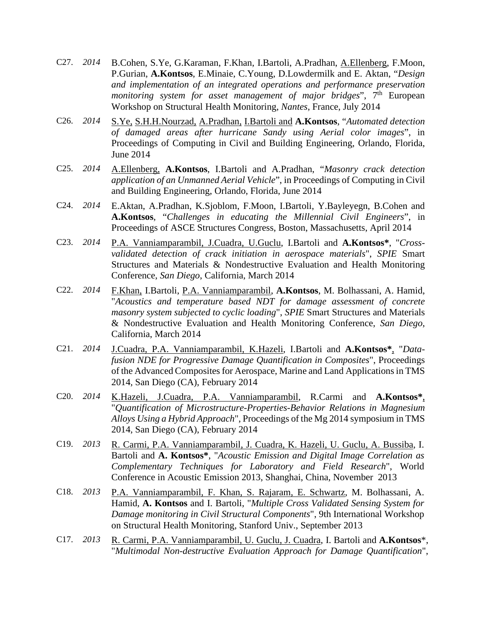- C27. *2014* B.Cohen, S.Ye, G.Karaman, F.Khan, I.Bartoli, A.Pradhan, A.Ellenberg, F.Moon, P.Gurian, **A.Kontsos**, E.Minaie, C.Young, D.Lowdermilk and E. Aktan, "*Design and implementation of an integrated operations and performance preservation monitoring system for asset management of major bridges*", 7<sup>th</sup> European Workshop on Structural Health Monitoring, *Nantes*, France, July 2014
- C26. *2014* S.Ye, S.H.H.Nourzad, A.Pradhan, I.Bartoli and **A.Kontsos**, "*Automated detection of damaged areas after hurricane Sandy using Aerial color images*", in Proceedings of Computing in Civil and Building Engineering, Orlando, Florida, June 2014
- C25. *2014* A.Ellenberg, **A.Kontsos**, I.Bartoli and A.Pradhan, "*Masonry crack detection application of an Unmanned Aerial Vehicle*", in Proceedings of Computing in Civil and Building Engineering, Orlando, Florida, June 2014
- C24. *2014* E.Aktan, A.Pradhan, K.Sjoblom, F.Moon, I.Bartoli, Y.Bayleyegn, B.Cohen and **A.Kontsos**, "*Challenges in educating the Millennial Civil Engineers*", in Proceedings of ASCE Structures Congress, Boston, Massachusetts, April 2014
- C23. *2014* P.A. Vanniamparambil, J.Cuadra, U.Guclu, I.Bartoli and **A.Kontsos\***, "*Crossvalidated detection of crack initiation in aerospace materials*", *SPIE* Smart Structures and Materials & Nondestructive Evaluation and Health Monitoring Conference, *San Diego*, California, March 2014
- C22. *2014* F.Khan, I.Bartoli, P.A. Vanniamparambil, **A.Kontsos**, M. Bolhassani, A. Hamid, "*Acoustics and temperature based NDT for damage assessment of concrete masonry system subjected to cyclic loading*", *SPIE* Smart Structures and Materials & Nondestructive Evaluation and Health Monitoring Conference, *San Diego*, California, March 2014
- C21. *2014* J.Cuadra, P.A. Vanniamparambil, K.Hazeli, I.Bartoli and **A.Kontsos\***, "*Datafusion NDE for Progressive Damage Quantification in Composites*", Proceedings of the Advanced Composites for Aerospace, Marine and Land Applications in TMS 2014, San Diego (CA), February 2014
- C20. *2014* Κ.Hazeli, J.Cuadra, P.A. Vanniamparambil, R.Carmi and **A.Kontsos\***, "*Quantification of Microstructure-Properties-Behavior Relations in Magnesium Alloys Using a Hybrid Approach*", Proceedings of the Mg 2014 symposium in TMS 2014, San Diego (CA), February 2014
- C19. *2013* R. Carmi, P.A. Vanniamparambil, J. Cuadra, K. Hazeli, U. Guclu, A. Bussiba, I. Bartoli and **A. Kontsos\***, "*Acoustic Emission and Digital Image Correlation as Complementary Techniques for Laboratory and Field Research*", World Conference in Acoustic Emission 2013, Shanghai, China, November 2013
- C18. *2013* P.A. Vanniamparambil, F. Khan, S. Rajaram, E. Schwartz, M. Bolhassani, A. Hamid, **A. Kontsos** and I. Bartoli, "*Multiple Cross Validated Sensing System for Damage monitoring in Civil Structural Components*", 9th International Workshop on Structural Health Monitoring, Stanford Univ., September 2013
- C17. *2013* R. Carmi, P.A. Vanniamparambil, U. Guclu, J. Cuadra, I. Bartoli and **A.Kontsos**\*, "*Multimodal Non-destructive Evaluation Approach for Damage Quantification*",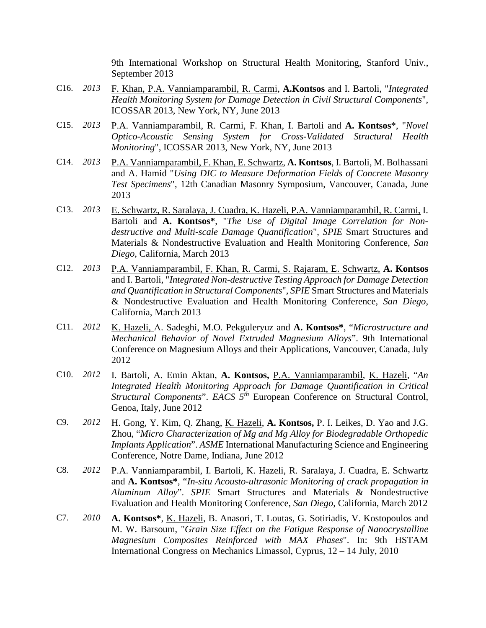9th International Workshop on Structural Health Monitoring, Stanford Univ., September 2013

- C16. *2013* F. Khan, P.A. Vanniamparambil, R. Carmi, **A.Kontsos** and I. Bartoli, "*Integrated Health Monitoring System for Damage Detection in Civil Structural Components*", ICOSSAR 2013, New York, NY, June 2013
- C15. *2013* P.A. Vanniamparambil, R. Carmi, F. Khan, I. Bartoli and **A. Kontsos**\*, "*Novel Optico-Acoustic Sensing System for Cross-Validated Structural Health Monitoring*", ICOSSAR 2013, New York, NY, June 2013
- C14. *2013* P.A. Vanniamparambil, F. Khan, E. Schwartz, **A. Kontsos**, I. Bartoli, M. Bolhassani and A. Hamid "*Using DIC to Measure Deformation Fields of Concrete Masonry Test Specimens*", 12th Canadian Masonry Symposium, Vancouver, Canada, June 2013
- C13. *2013* E. Schwartz, R. Saralaya, J. Cuadra, K. Hazeli, P.A. Vanniamparambil, R. Carmi, I. Bartoli and **A. Kontsos\***, "*The Use of Digital Image Correlation for Nondestructive and Multi-scale Damage Quantification*", *SPIE* Smart Structures and Materials & Nondestructive Evaluation and Health Monitoring Conference, *San Diego*, California, March 2013
- C12. *2013* P.A. Vanniamparambil, F. Khan, R. Carmi, S. Rajaram, E. Schwartz, **A. Kontsos** and I. Bartoli*,* "*Integrated Non-destructive Testing Approach for Damage Detection and Quantification in Structural Components*", *SPIE* Smart Structures and Materials & Nondestructive Evaluation and Health Monitoring Conference, *San Diego*, California, March 2013
- C11. *2012* K. Hazeli, Α. Sadeghi, M.O. Pekguleryuz and **A. Kontsos\***, "*Microstructure and Mechanical Behavior of Novel Extruded Magnesium Alloys*". 9th International Conference on Magnesium Alloys and their Applications, Vancouver, Canada, July 2012
- C10. *2012* I. Bartoli, Α. Emin Aktan, **A. Kontsos,** P.A. Vanniamparambil, K. Hazeli, "*An Integrated Health Monitoring Approach for Damage Quantification in Critical Structural Components*". *EACS 5th* European Conference on Structural Control, Genoa, Italy, June 2012
- C9. *2012* H. Gong, Y. Kim, Q. Zhang, K. Hazeli, **A. Kontsos,** P. I. Leikes, D. Yao and J.G. Zhou, "*Micro Characterization of Mg and Mg Alloy for Biodegradable Orthopedic Implants Application*". *ASME* International Manufacturing Science and Engineering Conference, Notre Dame, Indiana, June 2012
- C8. *2012* P.A. Vanniamparambil, I. Bartoli, K. Hazeli, R. Saralaya, J. Cuadra, E. Schwartz and **A. Kontsos\***, "*In-situ Acousto-ultrasonic Monitoring of crack propagation in Aluminum Alloy*". *SPIE* Smart Structures and Materials & Nondestructive Evaluation and Health Monitoring Conference, *San Diego*, California, March 2012
- C7. *2010* **A. Kontsos\***, K. Hazeli, B. Anasori, T. Loutas, G. Sotiriadis, V. Kostopoulos and M. W. Barsoum, "*Grain Size Effect on the Fatigue Response of Nanocrystalline Magnesium Composites Reinforced with MAX Phases*". In: 9th HSTAM International Congress on Mechanics Limassol, Cyprus, 12 – 14 July, 2010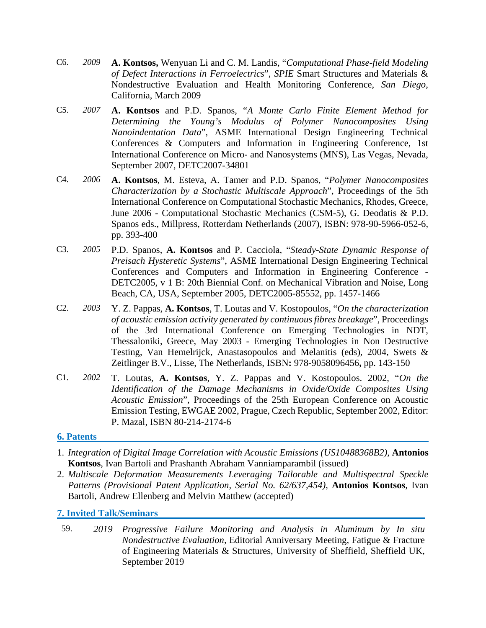- C6. *2009* **A. Kontsos,** Wenyuan Li and C. M. Landis, "*Computational Phase-field Modeling of Defect Interactions in Ferroelectrics*", *SPIE* Smart Structures and Materials & Nondestructive Evaluation and Health Monitoring Conference, *San Diego*, California, March 2009
- C5. *2007* **A. Kontsos** and P.D. Spanos, "*A Monte Carlo Finite Element Method for Determining the Young's Modulus of Polymer Nanocomposites Using Nanoindentation Data*", ASME International Design Engineering Technical Conferences & Computers and Information in Engineering Conference, 1st International Conference on Micro- and Nanosystems (MNS), Las Vegas, Nevada, September 2007, DETC2007-34801
- C4. *2006* **A. Kontsos**, M. Esteva, A. Tamer and P.D. Spanos, "*Polymer Nanocomposites Characterization by a Stochastic Multiscale Approach*", Proceedings of the 5th International Conference on Computational Stochastic Mechanics, Rhodes, Greece, June 2006 - Computational Stochastic Mechanics (CSM-5), G. Deodatis & P.D. Spanos eds., Millpress, Rotterdam Netherlands (2007), ISBN: 978-90-5966-052-6, pp. 393-400
- C3. *2005* P.D. Spanos, **A. Kontsos** and P. Cacciola, "*Steady-State Dynamic Response of Preisach Hysteretic Systems*", ASME International Design Engineering Technical Conferences and Computers and Information in Engineering Conference - DETC2005, v 1 B: 20th Biennial Conf. on Mechanical Vibration and Noise, Long Beach, CA, USA, September 2005, DETC2005-85552, pp. 1457-1466
- C2. *2003* Y. Z. Pappas, **A. Kontsos**, T. Loutas and V. Kostopoulos, "*On the characterization of acoustic emission activity generated by continuous fibres breakage*", Proceedings of the 3rd International Conference on Emerging Technologies in NDT, Thessaloniki, Greece, May 2003 - Emerging Technologies in Non Destructive Testing, Van Hemelrijck, Anastasopoulos and Melanitis (eds), 2004, Swets & Zeitlinger B.V., Lisse, The Netherlands, ISBN**:** 978-9058096456**,** pp. 143-150
- C1. *2002* T. Loutas, **A. Kontsos**, Y. Z. Pappas and V. Kostopoulos. 2002, "*On the Identification of the Damage Mechanisms in Oxide/Oxide Composites Using Acoustic Emission*", Proceedings of the 25th European Conference on Acoustic Emission Testing, EWGAE 2002, Prague, Czech Republic, September 2002, Editor: P. Mazal, ISBN 80-214-2174-6

#### **6. Patents**

- 1. *Integration of Digital Image Correlation with Acoustic Emissions (US10488368B2),* **Antonios Kontsos**, Ivan Bartoli and Prashanth Abraham Vanniamparambil (issued)
- 2. *Multiscale Deformation Measurements Leveraging Tailorable and Multispectral Speckle Patterns (Provisional Patent Application, Serial No. 62/637,454),* **Antonios Kontsos**, Ivan Bartoli, Andrew Ellenberg and Melvin Matthew (accepted)

#### **7. Invited Talk/Seminars**

59. *2019 Progressive Failure Monitoring and Analysis in Aluminum by In situ Nondestructive Evaluation,* Editorial Anniversary Meeting, Fatigue & Fracture of Engineering Materials & Structures, University of Sheffield, Sheffield UK, September 2019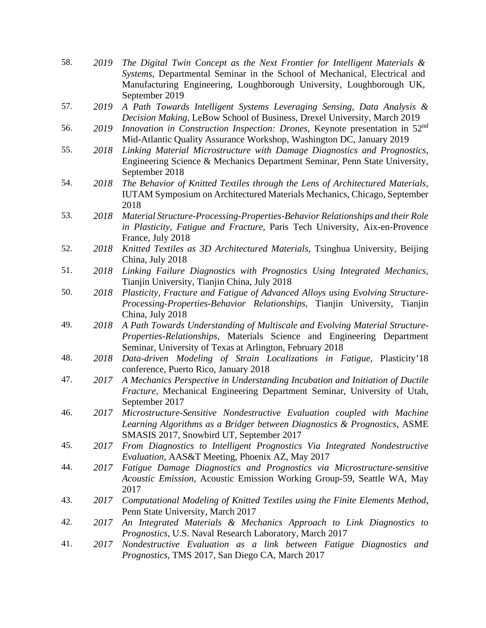| 58. | 2019 | The Digital Twin Concept as the Next Frontier for Intelligent Materials &<br>Systems, Departmental Seminar in the School of Mechanical, Electrical and<br>Manufacturing Engineering, Loughborough University, Loughborough UK,<br>September 2019 |
|-----|------|--------------------------------------------------------------------------------------------------------------------------------------------------------------------------------------------------------------------------------------------------|
| 57. | 2019 | A Path Towards Intelligent Systems Leveraging Sensing, Data Analysis &<br>Decision Making, LeBow School of Business, Drexel University, March 2019                                                                                               |
| 56. | 2019 | Innovation in Construction Inspection: Drones, Keynote presentation in 52 <sup>nd</sup><br>Mid-Atlantic Quality Assurance Workshop, Washington DC, January 2019                                                                                  |
| 55. | 2018 | Linking Material Microstructure with Damage Diagnostics and Prognostics,<br>Engineering Science & Mechanics Department Seminar, Penn State University,<br>September 2018                                                                         |
| 54. | 2018 | The Behavior of Knitted Textiles through the Lens of Architectured Materials,<br>IUTAM Symposium on Architectured Materials Mechanics, Chicago, September<br>2018                                                                                |
| 53. | 2018 | Material Structure-Processing-Properties-Behavior Relationships and their Role<br>in Plasticity, Fatigue and Fracture, Paris Tech University, Aix-en-Provence<br>France, July 2018                                                               |
| 52. | 2018 | Knitted Textiles as 3D Architectured Materials, Tsinghua University, Beijing<br>China, July 2018                                                                                                                                                 |
| 51. | 2018 | Linking Failure Diagnostics with Prognostics Using Integrated Mechanics,<br>Tianjin University, Tianjin China, July 2018                                                                                                                         |
| 50. | 2018 | Plasticity, Fracture and Fatigue of Advanced Alloys using Evolving Structure-<br>Processing-Properties-Behavior Relationships, Tianjin University, Tianjin<br>China, July 2018                                                                   |
| 49. | 2018 | A Path Towards Understanding of Multiscale and Evolving Material Structure-<br>Properties-Relationships, Materials Science and Engineering Department<br>Seminar, University of Texas at Arlington, February 2018                                |
| 48. | 2018 | Data-driven Modeling of Strain Localizations in Fatigue, Plasticity'18<br>conference, Puerto Rico, January 2018                                                                                                                                  |
| 47. | 2017 | A Mechanics Perspective in Understanding Incubation and Initiation of Ductile<br>Fracture, Mechanical Engineering Department Seminar, University of Utah,<br>September 2017                                                                      |
| 46. | 2017 | Microstructure-Sensitive Nondestructive Evaluation coupled with Machine<br>Learning Algorithms as a Bridger between Diagnostics & Prognostics, ASME<br>SMASIS 2017, Snowbird UT, September 2017                                                  |
| 45. | 2017 | From Diagnostics to Intelligent Prognostics Via Integrated Nondestructive<br>Evaluation, AAS&T Meeting, Phoenix AZ, May 2017                                                                                                                     |
| 44. | 2017 | Fatigue Damage Diagnostics and Prognostics via Microstructure-sensitive<br>Acoustic Emission, Acoustic Emission Working Group-59, Seattle WA, May<br>2017                                                                                        |
| 43. | 2017 | Computational Modeling of Knitted Textiles using the Finite Elements Method,<br>Penn State University, March 2017                                                                                                                                |
| 42. | 2017 | An Integrated Materials & Mechanics Approach to Link Diagnostics to<br>Prognostics, U.S. Naval Research Laboratory, March 2017                                                                                                                   |
| 41. | 2017 | Nondestructive Evaluation as a link between Fatigue Diagnostics and<br>Prognostics, TMS 2017, San Diego CA, March 2017                                                                                                                           |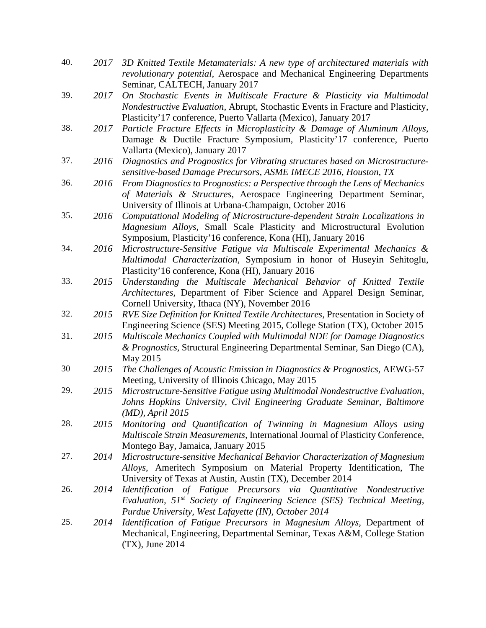| 40. | 2017 | 3D Knitted Textile Metamaterials: A new type of architectured materials with<br>revolutionary potential, Aerospace and Mechanical Engineering Departments                                                                                                              |
|-----|------|------------------------------------------------------------------------------------------------------------------------------------------------------------------------------------------------------------------------------------------------------------------------|
| 39. | 2017 | Seminar, CALTECH, January 2017<br>On Stochastic Events in Multiscale Fracture & Plasticity via Multimodal<br>Nondestructive Evaluation, Abrupt, Stochastic Events in Fracture and Plasticity,                                                                          |
| 38. | 2017 | Plasticity' 17 conference, Puerto Vallarta (Mexico), January 2017<br>Particle Fracture Effects in Microplasticity & Damage of Aluminum Alloys,<br>Damage & Ductile Fracture Symposium, Plasticity'17 conference, Puerto                                                |
| 37. | 2016 | Vallarta (Mexico), January 2017<br>Diagnostics and Prognostics for Vibrating structures based on Microstructure-<br>sensitive-based Damage Precursors, ASME IMECE 2016, Houston, TX                                                                                    |
| 36. | 2016 | From Diagnostics to Prognostics: a Perspective through the Lens of Mechanics<br>of Materials & Structures, Aerospace Engineering Department Seminar,<br>University of Illinois at Urbana-Champaign, October 2016                                                       |
| 35. | 2016 | Computational Modeling of Microstructure-dependent Strain Localizations in<br>Magnesium Alloys, Small Scale Plasticity and Microstructural Evolution                                                                                                                   |
| 34. | 2016 | Symposium, Plasticity'16 conference, Kona (HI), January 2016<br>Microstructure-Sensitive Fatigue via Multiscale Experimental Mechanics &<br>Multimodal Characterization, Symposium in honor of Huseyin Sehitoglu,<br>Plasticity'16 conference, Kona (HI), January 2016 |
| 33. | 2015 | Understanding the Multiscale Mechanical Behavior of Knitted Textile<br>Architectures, Department of Fiber Science and Apparel Design Seminar,<br>Cornell University, Ithaca (NY), November 2016                                                                        |
| 32. | 2015 | RVE Size Definition for Knitted Textile Architectures, Presentation in Society of<br>Engineering Science (SES) Meeting 2015, College Station (TX), October 2015                                                                                                        |
| 31. | 2015 | Multiscale Mechanics Coupled with Multimodal NDE for Damage Diagnostics<br>& Prognostics, Structural Engineering Departmental Seminar, San Diego (CA),<br>May 2015                                                                                                     |
| 30  | 2015 | The Challenges of Acoustic Emission in Diagnostics & Prognostics, AEWG-57<br>Meeting, University of Illinois Chicago, May 2015                                                                                                                                         |
| 29. | 2015 | Microstructure-Sensitive Fatigue using Multimodal Nondestructive Evaluation,<br>Johns Hopkins University, Civil Engineering Graduate Seminar, Baltimore<br>$(MD)$ , April 2015                                                                                         |
| 28. | 2015 | Monitoring and Quantification of Twinning in Magnesium Alloys using<br>Multiscale Strain Measurements, International Journal of Plasticity Conference,<br>Montego Bay, Jamaica, January 2015                                                                           |
| 27. | 2014 | Microstructure-sensitive Mechanical Behavior Characterization of Magnesium<br>Alloys, Ameritech Symposium on Material Property Identification, The<br>University of Texas at Austin, Austin (TX), December 2014                                                        |
| 26. | 2014 | Identification of Fatigue Precursors via Quantitative Nondestructive<br>Evaluation, 51 <sup>st</sup> Society of Engineering Science (SES) Technical Meeting,<br>Purdue University, West Lafayette (IN), October 2014                                                   |
| 25. | 2014 | Identification of Fatigue Precursors in Magnesium Alloys, Department of<br>Mechanical, Engineering, Departmental Seminar, Texas A&M, College Station<br>$(TX)$ , June 2014                                                                                             |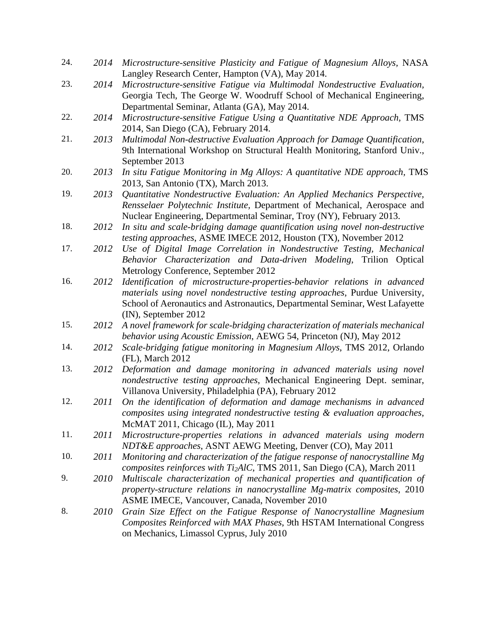24. *2014 Microstructure-sensitive Plasticity and Fatigue of Magnesium Alloys,* NASA Langley Research Center, Hampton (VA), May 2014. 23. *2014 Microstructure-sensitive Fatigue via Multimodal Nondestructive Evaluation,*  Georgia Tech*,* The George W. Woodruff School of Mechanical Engineering, Departmental Seminar, Atlanta (GA), May 2014. 22. *2014 Microstructure-sensitive Fatigue Using a Quantitative NDE Approach,* TMS 2014, San Diego (CA), February 2014. 21. *2013 Multimodal Non-destructive Evaluation Approach for Damage Quantification*, 9th International Workshop on Structural Health Monitoring, Stanford Univ., September 2013 20. *2013 In situ Fatigue Monitoring in Mg Alloys: A quantitative NDE approach,* TMS 2013, San Antonio (TX), March 2013. 19. *2013 Quantitative Nondestructive Evaluation: An Applied Mechanics Perspective, Rensselaer Polytechnic Institute,* Department of Mechanical, Aerospace and Nuclear Engineering, Departmental Seminar, Troy (NY), February 2013. 18. *2012 In situ and scale-bridging damage quantification using novel non-destructive testing approaches*, ASME IMECE 2012, Houston (TX), November 2012 17. *2012 Use of Digital Image Correlation in Nondestructive Testing, Mechanical Behavior Characterization and Data-driven Modeling*, Trilion Optical Metrology Conference, September 2012 16. *2012 Identification of microstructure-properties-behavior relations in advanced materials using novel nondestructive testing approaches*, Purdue University, School of Aeronautics and Astronautics, Departmental Seminar, West Lafayette (IN), September 2012 15. *2012 A novel framework for scale-bridging characterization of materials mechanical behavior using Acoustic Emission*, AEWG 54, Princeton (NJ), May 2012 14. *2012 Scale-bridging fatigue monitoring in Magnesium Alloys*, TMS 2012, Orlando (FL), March 2012 13. *2012 Deformation and damage monitoring in advanced materials using novel nondestructive testing approaches*, Mechanical Engineering Dept. seminar, Villanova University, Philadelphia (PA), February 2012 12. *2011 On the identification of deformation and damage mechanisms in advanced composites using integrated nondestructive testing & evaluation approaches*, McMAT 2011, Chicago (IL), May 2011 11. *2011 Microstructure-properties relations in advanced materials using modern NDT&E approaches*, ASNT AEWG Meeting, Denver (CO), May 2011 10. *2011 Monitoring and characterization of the fatigue response of nanocrystalline Mg composites reinforces with Ti2AlC*, TMS 2011, San Diego (CA), March 2011 9. *2010 Multiscale characterization of mechanical properties and quantification of property-structure relations in nanocrystalline Mg-matrix composites*, 2010 ASME IMECE, Vancouver, Canada, November 2010 8. *2010 Grain Size Effect on the Fatigue Response of Nanocrystalline Magnesium Composites Reinforced with MAX Phases*, 9th HSTAM International Congress on Mechanics, Limassol Cyprus, July 2010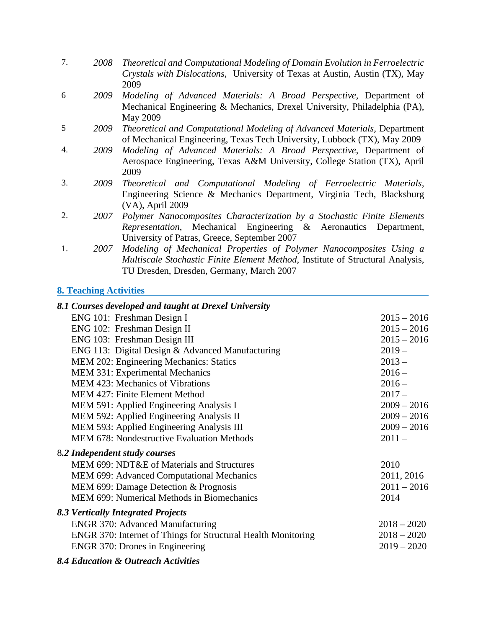| 7. | 2008 | Theoretical and Computational Modeling of Domain Evolution in Ferroelectric<br>Crystals with Dislocations, University of Texas at Austin, Austin (TX), May<br>2009                                        |
|----|------|-----------------------------------------------------------------------------------------------------------------------------------------------------------------------------------------------------------|
| 6  | 2009 | Modeling of Advanced Materials: A Broad Perspective, Department of<br>Mechanical Engineering & Mechanics, Drexel University, Philadelphia (PA),<br>May 2009                                               |
| 5  | 2009 | Theoretical and Computational Modeling of Advanced Materials, Department<br>of Mechanical Engineering, Texas Tech University, Lubbock (TX), May 2009                                                      |
| 4. | 2009 | Modeling of Advanced Materials: A Broad Perspective, Department of<br>Aerospace Engineering, Texas A&M University, College Station (TX), April<br>2009                                                    |
| 3. | 2009 | Theoretical and Computational Modeling of Ferroelectric Materials,<br>Engineering Science & Mechanics Department, Virginia Tech, Blacksburg<br>(VA), April 2009                                           |
| 2. | 2007 | Polymer Nanocomposites Characterization by a Stochastic Finite Elements<br>Representation, Mechanical Engineering & Aeronautics Department,<br>University of Patras, Greece, September 2007               |
| 1. | 2007 | Modeling of Mechanical Properties of Polymer Nanocomposites Using a<br><i>Multiscale Stochastic Finite Element Method</i> , Institute of Structural Analysis,<br>TU Dresden, Dresden, Germany, March 2007 |

# **8. Teaching Activities**

| 8.1 Courses developed and taught at Drexel University          |               |
|----------------------------------------------------------------|---------------|
| ENG 101: Freshman Design I                                     | $2015 - 2016$ |
| ENG 102: Freshman Design II                                    | $2015 - 2016$ |
| ENG 103: Freshman Design III                                   | $2015 - 2016$ |
| ENG 113: Digital Design & Advanced Manufacturing               | $2019-$       |
| MEM 202: Engineering Mechanics: Statics                        | $2013 -$      |
| MEM 331: Experimental Mechanics                                | $2016 -$      |
| <b>MEM 423: Mechanics of Vibrations</b>                        | $2016 -$      |
| MEM 427: Finite Element Method                                 | $2017 -$      |
| MEM 591: Applied Engineering Analysis I                        | $2009 - 2016$ |
| MEM 592: Applied Engineering Analysis II                       | $2009 - 2016$ |
| MEM 593: Applied Engineering Analysis III                      | $2009 - 2016$ |
| <b>MEM 678: Nondestructive Evaluation Methods</b>              | $2011 -$      |
| 8.2 Independent study courses                                  |               |
| MEM 699: NDT&E of Materials and Structures                     | 2010          |
| MEM 699: Advanced Computational Mechanics                      | 2011, 2016    |
| MEM 699: Damage Detection & Prognosis                          | $2011 - 2016$ |
| <b>MEM 699: Numerical Methods in Biomechanics</b>              | 2014          |
| 8.3 Vertically Integrated Projects                             |               |
| <b>ENGR 370: Advanced Manufacturing</b>                        | $2018 - 2020$ |
| ENGR 370: Internet of Things for Structural Health Monitoring  | $2018 - 2020$ |
| ENGR 370: Drones in Engineering                                | $2019 - 2020$ |
| $0.4 \text{m}$ $\theta$ $0.0 \text{m}$ $\theta$ $1.4 \text{m}$ |               |

### *8.4 Education & Outreach Activities*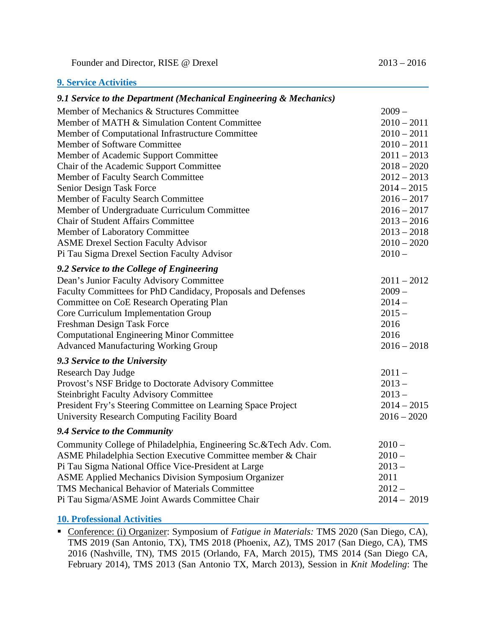Founder and Director, RISE @ Drexel 2013 – 2016

## **9. Service Activities**

| 9.1 Service to the Department (Mechanical Engineering & Mechanics) |               |
|--------------------------------------------------------------------|---------------|
| Member of Mechanics & Structures Committee                         | $2009 -$      |
| Member of MATH & Simulation Content Committee                      | $2010 - 2011$ |
| Member of Computational Infrastructure Committee                   | $2010 - 2011$ |
| Member of Software Committee                                       | $2010 - 2011$ |
| Member of Academic Support Committee                               | $2011 - 2013$ |
| Chair of the Academic Support Committee                            | $2018 - 2020$ |
| Member of Faculty Search Committee                                 | $2012 - 2013$ |
| Senior Design Task Force                                           | $2014 - 2015$ |
| Member of Faculty Search Committee                                 | $2016 - 2017$ |
| Member of Undergraduate Curriculum Committee                       | $2016 - 2017$ |
| <b>Chair of Student Affairs Committee</b>                          | $2013 - 2016$ |
| Member of Laboratory Committee                                     | $2013 - 2018$ |
| <b>ASME Drexel Section Faculty Advisor</b>                         | $2010 - 2020$ |
| Pi Tau Sigma Drexel Section Faculty Advisor                        | $2010 -$      |
| 9.2 Service to the College of Engineering                          |               |
| Dean's Junior Faculty Advisory Committee                           | $2011 - 2012$ |
| Faculty Committees for PhD Candidacy, Proposals and Defenses       | $2009 -$      |
| <b>Committee on CoE Research Operating Plan</b>                    | $2014-$       |
| Core Curriculum Implementation Group                               | $2015 -$      |
| Freshman Design Task Force                                         | 2016          |
| <b>Computational Engineering Minor Committee</b>                   | 2016          |
| <b>Advanced Manufacturing Working Group</b>                        | $2016 - 2018$ |
| 9.3 Service to the University                                      |               |
| <b>Research Day Judge</b>                                          | $2011 -$      |
| Provost's NSF Bridge to Doctorate Advisory Committee               | $2013 -$      |
| <b>Steinbright Faculty Advisory Committee</b>                      | $2013 -$      |
| President Fry's Steering Committee on Learning Space Project       | $2014 - 2015$ |
| University Research Computing Facility Board                       | $2016 - 2020$ |
| 9.4 Service to the Community                                       |               |
| Community College of Philadelphia, Engineering Sc.&Tech Adv. Com.  | $2010 -$      |
| ASME Philadelphia Section Executive Committee member & Chair       | $2010 -$      |
| Pi Tau Sigma National Office Vice-President at Large               | $2013 -$      |
| <b>ASME Applied Mechanics Division Symposium Organizer</b>         | 2011          |
| TMS Mechanical Behavior of Materials Committee                     | $2012 -$      |
| Pi Tau Sigma/ASME Joint Awards Committee Chair                     | $2014 - 2019$ |
|                                                                    |               |

## **10. Professional Activities**

 Conference: (i) Organizer: Symposium of *Fatigue in Materials:* TMS 2020 (San Diego, CA), TMS 2019 (San Antonio, TX), TMS 2018 (Phoenix, AZ), TMS 2017 (San Diego, CA), TMS 2016 (Nashville, TN), TMS 2015 (Orlando, FA, March 2015), TMS 2014 (San Diego CA, February 2014), TMS 2013 (San Antonio TX, March 2013), Session in *Knit Modeling*: The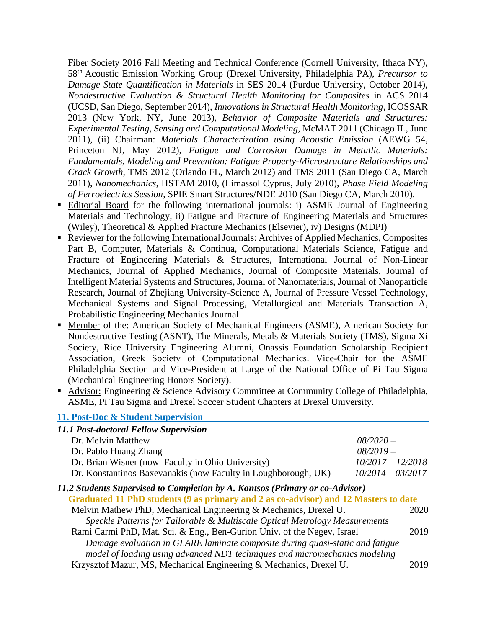Fiber Society 2016 Fall Meeting and Technical Conference (Cornell University, Ithaca NY), 58th Acoustic Emission Working Group (Drexel University, Philadelphia PA), *Precursor to Damage State Quantification in Materials* in SES 2014 (Purdue University, October 2014), *Nondestructive Evaluation & Structural Health Monitoring for Composites* in ACS 2014 (UCSD, San Diego, September 2014), *Innovations in Structural Health Monitoring*, ICOSSAR 2013 (New York, NY, June 2013), *Behavior of Composite Materials and Structures: Experimental Testing, Sensing and Computational Modeling*, McMAT 2011 (Chicago IL, June 2011), (ii) Chairman: *Materials Characterization using Acoustic Emission* (AEWG 54, Princeton NJ, May 2012), *Fatigue and Corrosion Damage in Metallic Materials: Fundamentals, Modeling and Prevention: Fatigue Property-Microstructure Relationships and Crack Growth*, TMS 2012 (Orlando FL, March 2012) and TMS 2011 (San Diego CA, March 2011), *Nanomechanics*, HSTAM 2010, (Limassol Cyprus, July 2010), *Phase Field Modeling of Ferroelectrics Session*, SPIE Smart Structures/NDE 2010 (San Diego CA, March 2010).

- **Editorial Board for the following international journals: i) ASME Journal of Engineering** Materials and Technology, ii) Fatigue and Fracture of Engineering Materials and Structures (Wiley), Theoretical & Applied Fracture Mechanics (Elsevier), iv) Designs (MDPI)
- Reviewer for the following International Journals: Archives of Applied Mechanics, Composites Part B, Computer, Materials & Continua, Computational Materials Science, Fatigue and Fracture of Engineering Materials & Structures, International Journal of Non-Linear Mechanics, Journal of Applied Mechanics, Journal of Composite Materials, Journal of Intelligent Material Systems and Structures, Journal of Nanomaterials, Journal of Nanoparticle Research, Journal of Zhejiang University-Science A, Journal of Pressure Vessel Technology, Mechanical Systems and Signal Processing, Metallurgical and Materials Transaction A, Probabilistic Engineering Mechanics Journal.
- Member of the: American Society of Mechanical Engineers (ASME), American Society for Nondestructive Testing (ASNT), The Minerals, Metals & Materials Society (TMS), Sigma Xi Society, Rice University Engineering Alumni, Onassis Foundation Scholarship Recipient Association, Greek Society of Computational Mechanics. Vice-Chair for the ASME Philadelphia Section and Vice-President at Large of the National Office of Pi Tau Sigma (Mechanical Engineering Honors Society).
- Advisor: Engineering & Science Advisory Committee at Community College of Philadelphia, ASME, Pi Tau Sigma and Drexel Soccer Student Chapters at Drexel University.

#### **11. Post-Doc & Student Supervision**

| 11.1 Post-doctoral Fellow Supervision                                               |                     |
|-------------------------------------------------------------------------------------|---------------------|
| Dr. Melvin Matthew                                                                  | $08/2020 -$         |
| Dr. Pablo Huang Zhang                                                               | $08/2019-$          |
| Dr. Brian Wisner (now Faculty in Ohio University)                                   | $10/2017 - 12/2018$ |
| Dr. Konstantinos Baxevanakis (now Faculty in Loughborough, UK)                      | $10/2014 - 03/2017$ |
| 11.2 Students Supervised to Completion by A. Kontsos (Primary or co-Advisor)        |                     |
| Graduated 11 PhD students (9 as primary and 2 as co-advisor) and 12 Masters to date |                     |
| Melvin Mathew PhD, Mechanical Engineering & Mechanics, Drexel U.                    | 2020                |
| Speckle Patterns for Tailorable & Multiscale Optical Metrology Measurements         |                     |
| Rami Carmi PhD, Mat. Sci. & Eng., Ben-Gurion Univ. of the Negev, Israel             | 2019                |
| Damage evaluation in GLARE laminate composite during quasi-static and fatigue       |                     |
| model of loading using advanced NDT techniques and micromechanics modeling          |                     |
| Krzysztof Mazur, MS, Mechanical Engineering & Mechanics, Drexel U.                  | 2019                |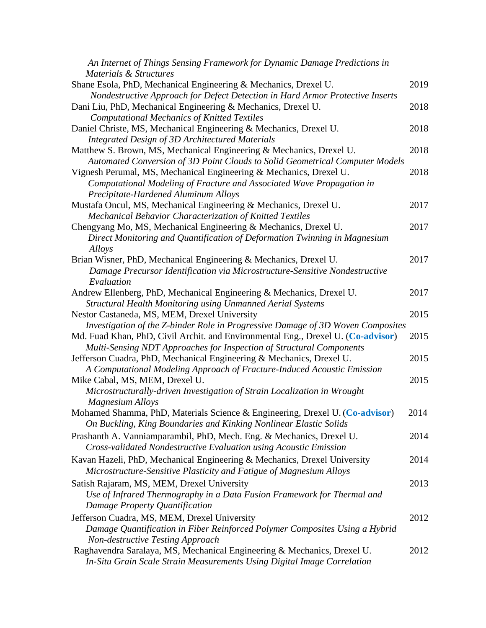| An Internet of Things Sensing Framework for Dynamic Damage Predictions in        |      |
|----------------------------------------------------------------------------------|------|
| Materials & Structures                                                           |      |
| Shane Esola, PhD, Mechanical Engineering & Mechanics, Drexel U.                  | 2019 |
| Nondestructive Approach for Defect Detection in Hard Armor Protective Inserts    |      |
| Dani Liu, PhD, Mechanical Engineering & Mechanics, Drexel U.                     | 2018 |
| <b>Computational Mechanics of Knitted Textiles</b>                               |      |
| Daniel Christe, MS, Mechanical Engineering & Mechanics, Drexel U.                | 2018 |
| <b>Integrated Design of 3D Architectured Materials</b>                           |      |
| Matthew S. Brown, MS, Mechanical Engineering & Mechanics, Drexel U.              | 2018 |
| Automated Conversion of 3D Point Clouds to Solid Geometrical Computer Models     |      |
| Vignesh Perumal, MS, Mechanical Engineering & Mechanics, Drexel U.               | 2018 |
| Computational Modeling of Fracture and Associated Wave Propagation in            |      |
| Precipitate-Hardened Aluminum Alloys                                             |      |
| Mustafa Oncul, MS, Mechanical Engineering & Mechanics, Drexel U.                 | 2017 |
| Mechanical Behavior Characterization of Knitted Textiles                         |      |
| Chengyang Mo, MS, Mechanical Engineering & Mechanics, Drexel U.                  | 2017 |
| Direct Monitoring and Quantification of Deformation Twinning in Magnesium        |      |
| Alloys                                                                           |      |
| Brian Wisner, PhD, Mechanical Engineering & Mechanics, Drexel U.                 | 2017 |
| Damage Precursor Identification via Microstructure-Sensitive Nondestructive      |      |
| Evaluation                                                                       |      |
| Andrew Ellenberg, PhD, Mechanical Engineering & Mechanics, Drexel U.             | 2017 |
| <b>Structural Health Monitoring using Unmanned Aerial Systems</b>                |      |
| Nestor Castaneda, MS, MEM, Drexel University                                     | 2015 |
| Investigation of the Z-binder Role in Progressive Damage of 3D Woven Composites  |      |
| Md. Fuad Khan, PhD, Civil Archit. and Environmental Eng., Drexel U. (Co-advisor) | 2015 |
| Multi-Sensing NDT Approaches for Inspection of Structural Components             |      |
| Jefferson Cuadra, PhD, Mechanical Engineering & Mechanics, Drexel U.             | 2015 |
| A Computational Modeling Approach of Fracture-Induced Acoustic Emission          |      |
| Mike Cabal, MS, MEM, Drexel U.                                                   | 2015 |
| Microstructurally-driven Investigation of Strain Localization in Wrought         |      |
| <b>Magnesium Alloys</b>                                                          |      |
| Mohamed Shamma, PhD, Materials Science & Engineering, Drexel U. (Co-advisor)     | 2014 |
| On Buckling, King Boundaries and Kinking Nonlinear Elastic Solids                |      |
| Prashanth A. Vanniamparambil, PhD, Mech. Eng. & Mechanics, Drexel U.             | 2014 |
| Cross-validated Nondestructive Evaluation using Acoustic Emission                |      |
|                                                                                  |      |
| Kavan Hazeli, PhD, Mechanical Engineering & Mechanics, Drexel University         | 2014 |
| Microstructure-Sensitive Plasticity and Fatigue of Magnesium Alloys              |      |
| Satish Rajaram, MS, MEM, Drexel University                                       | 2013 |
| Use of Infrared Thermography in a Data Fusion Framework for Thermal and          |      |
| Damage Property Quantification                                                   |      |
| Jefferson Cuadra, MS, MEM, Drexel University                                     | 2012 |
| Damage Quantification in Fiber Reinforced Polymer Composites Using a Hybrid      |      |
| Non-destructive Testing Approach                                                 |      |
| Raghavendra Saralaya, MS, Mechanical Engineering & Mechanics, Drexel U.          | 2012 |
| In-Situ Grain Scale Strain Measurements Using Digital Image Correlation          |      |
|                                                                                  |      |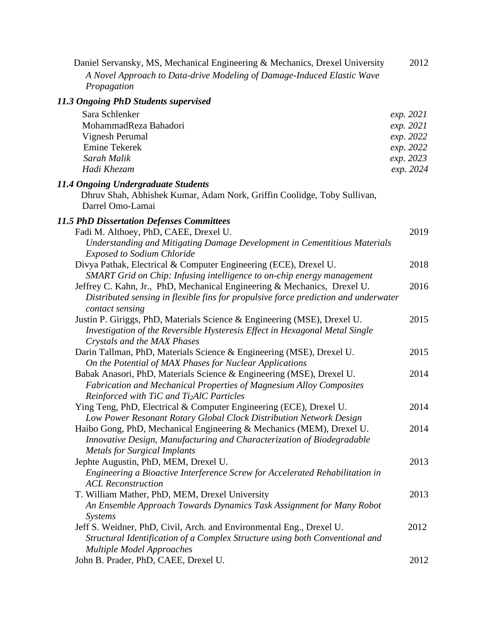| Daniel Servansky, MS, Mechanical Engineering & Mechanics, Drexel University<br>A Novel Approach to Data-drive Modeling of Damage-Induced Elastic Wave<br>Propagation                                 | 2012      |
|------------------------------------------------------------------------------------------------------------------------------------------------------------------------------------------------------|-----------|
| 11.3 Ongoing PhD Students supervised                                                                                                                                                                 |           |
| Sara Schlenker                                                                                                                                                                                       | exp. 2021 |
| MohammadReza Bahadori                                                                                                                                                                                | exp. 2021 |
| Vignesh Perumal                                                                                                                                                                                      | exp. 2022 |
| <b>Emine Tekerek</b>                                                                                                                                                                                 | exp. 2022 |
| Sarah Malik                                                                                                                                                                                          | exp. 2023 |
| Hadi Khezam                                                                                                                                                                                          | exp. 2024 |
| 11.4 Ongoing Undergraduate Students<br>Dhruv Shah, Abhishek Kumar, Adam Nork, Griffin Coolidge, Toby Sullivan,<br>Darrel Omo-Lamai                                                                   |           |
| <b>11.5 PhD Dissertation Defenses Committees</b>                                                                                                                                                     |           |
| Fadi M. Althoey, PhD, CAEE, Drexel U.                                                                                                                                                                | 2019      |
| Understanding and Mitigating Damage Development in Cementitious Materials<br><b>Exposed to Sodium Chloride</b>                                                                                       |           |
| Divya Pathak, Electrical & Computer Engineering (ECE), Drexel U.<br>SMART Grid on Chip: Infusing intelligence to on-chip energy management                                                           | 2018      |
| Jeffrey C. Kahn, Jr., PhD, Mechanical Engineering & Mechanics, Drexel U.<br>Distributed sensing in flexible fins for propulsive force prediction and underwater                                      | 2016      |
| contact sensing<br>Justin P. Giriggs, PhD, Materials Science & Engineering (MSE), Drexel U.                                                                                                          | 2015      |
| Investigation of the Reversible Hysteresis Effect in Hexagonal Metal Single<br>Crystals and the MAX Phases                                                                                           |           |
| Darin Tallman, PhD, Materials Science & Engineering (MSE), Drexel U.<br>On the Potential of MAX Phases for Nuclear Applications                                                                      | 2015      |
| Babak Anasori, PhD, Materials Science & Engineering (MSE), Drexel U.<br>Fabrication and Mechanical Properties of Magnesium Alloy Composites<br>Reinforced with TiC and Ti <sub>2</sub> AlC Particles | 2014      |
| Ying Teng, PhD, Electrical & Computer Engineering (ECE), Drexel U.<br>Low Power Resonant Rotary Global Clock Distribution Network Design                                                             | 2014      |
| Haibo Gong, PhD, Mechanical Engineering & Mechanics (MEM), Drexel U.<br>Innovative Design, Manufacturing and Characterization of Biodegradable<br><b>Metals for Surgical Implants</b>                | 2014      |
| Jephte Augustin, PhD, MEM, Drexel U.<br>Engineering a Bioactive Interference Screw for Accelerated Rehabilitation in<br><b>ACL Reconstruction</b>                                                    | 2013      |
| T. William Mather, PhD, MEM, Drexel University<br>An Ensemble Approach Towards Dynamics Task Assignment for Many Robot<br>Systems                                                                    | 2013      |
| Jeff S. Weidner, PhD, Civil, Arch. and Environmental Eng., Drexel U.<br>Structural Identification of a Complex Structure using both Conventional and<br><b>Multiple Model Approaches</b>             | 2012      |
| John B. Prader, PhD, CAEE, Drexel U.                                                                                                                                                                 | 2012      |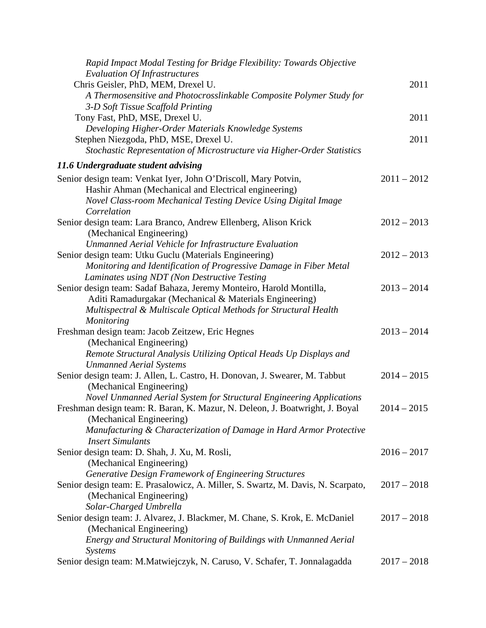| Rapid Impact Modal Testing for Bridge Flexibility: Towards Objective             |               |
|----------------------------------------------------------------------------------|---------------|
| <b>Evaluation Of Infrastructures</b>                                             |               |
| Chris Geisler, PhD, MEM, Drexel U.                                               | 2011          |
| A Thermosensitive and Photocrosslinkable Composite Polymer Study for             |               |
| 3-D Soft Tissue Scaffold Printing                                                |               |
| Tony Fast, PhD, MSE, Drexel U.                                                   | 2011          |
| Developing Higher-Order Materials Knowledge Systems                              |               |
| Stephen Niezgoda, PhD, MSE, Drexel U.                                            | 2011          |
| Stochastic Representation of Microstructure via Higher-Order Statistics          |               |
| 11.6 Undergraduate student advising                                              |               |
| Senior design team: Venkat Iyer, John O'Driscoll, Mary Potvin,                   | $2011 - 2012$ |
| Hashir Ahman (Mechanical and Electrical engineering)                             |               |
| Novel Class-room Mechanical Testing Device Using Digital Image                   |               |
| Correlation                                                                      |               |
| Senior design team: Lara Branco, Andrew Ellenberg, Alison Krick                  | $2012 - 2013$ |
| (Mechanical Engineering)                                                         |               |
| Unmanned Aerial Vehicle for Infrastructure Evaluation                            |               |
| Senior design team: Utku Guclu (Materials Engineering)                           | $2012 - 2013$ |
| Monitoring and Identification of Progressive Damage in Fiber Metal               |               |
| Laminates using NDT (Non Destructive Testing                                     |               |
| Senior design team: Sadaf Bahaza, Jeremy Monteiro, Harold Montilla,              | $2013 - 2014$ |
| Aditi Ramadurgakar (Mechanical & Materials Engineering)                          |               |
| Multispectral & Multiscale Optical Methods for Structural Health                 |               |
| <b>Monitoring</b>                                                                |               |
| Freshman design team: Jacob Zeitzew, Eric Hegnes                                 | $2013 - 2014$ |
| (Mechanical Engineering)                                                         |               |
| Remote Structural Analysis Utilizing Optical Heads Up Displays and               |               |
| <b>Unmanned Aerial Systems</b>                                                   |               |
| Senior design team: J. Allen, L. Castro, H. Donovan, J. Swearer, M. Tabbut       | $2014 - 2015$ |
| (Mechanical Engineering)                                                         |               |
| Novel Unmanned Aerial System for Structural Engineering Applications             |               |
| Freshman design team: R. Baran, K. Mazur, N. Deleon, J. Boatwright, J. Boyal     | $2014 - 2015$ |
| (Mechanical Engineering)                                                         |               |
| Manufacturing & Characterization of Damage in Hard Armor Protective              |               |
| <b>Insert Simulants</b>                                                          |               |
| Senior design team: D. Shah, J. Xu, M. Rosli,                                    | $2016 - 2017$ |
| (Mechanical Engineering)                                                         |               |
| Generative Design Framework of Engineering Structures                            |               |
| Senior design team: E. Prasalowicz, A. Miller, S. Swartz, M. Davis, N. Scarpato, | $2017 - 2018$ |
| (Mechanical Engineering)                                                         |               |
| Solar-Charged Umbrella                                                           |               |
| Senior design team: J. Alvarez, J. Blackmer, M. Chane, S. Krok, E. McDaniel      | $2017 - 2018$ |
|                                                                                  |               |
| (Mechanical Engineering)                                                         |               |
| Energy and Structural Monitoring of Buildings with Unmanned Aerial               |               |
| Systems                                                                          |               |
| Senior design team: M.Matwiejczyk, N. Caruso, V. Schafer, T. Jonnalagadda        | $2017 - 2018$ |